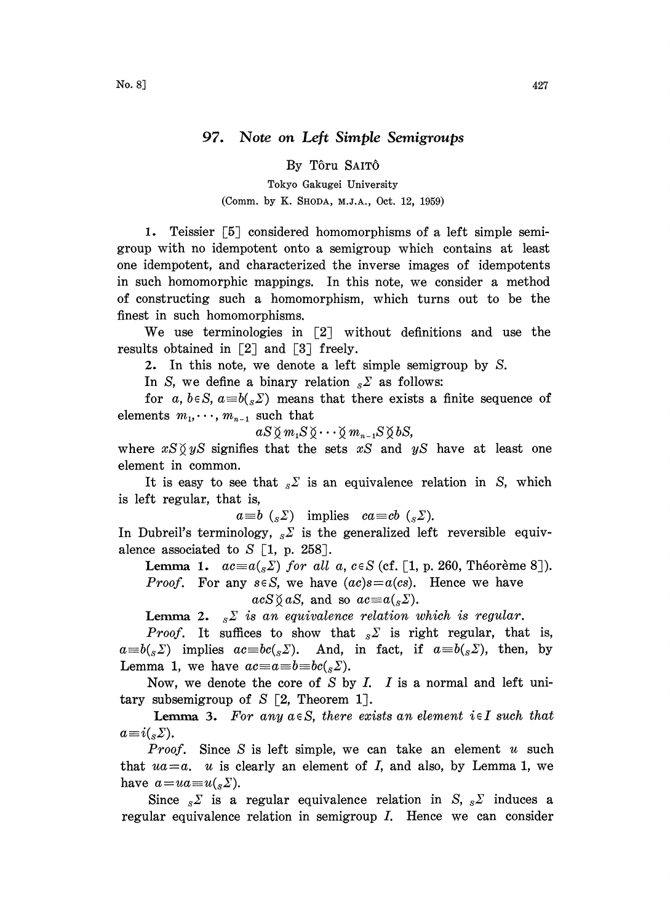## 97. Note on Left Simple Semigroups

By Tôru SAITÔ

## Tokyo Gakugei University (Comm. by K. SHODA, M.J.A., Oct. 12, 1959)

1. Teissier [5] considered homomorphisms of a left simple semigroup with no idempotent onto a semigroup which contains at least one idempotent, and characterized the inverse images of idempotents in such homomorphic mappings. In this note, we consider a method of constructing such a homomorphism, which turns out to be the finest in such homomorphisms.

We use terminologies in  $[2]$  without definitions and use the results obtained in  $[2]$  and  $[3]$  freely.

2. In this note, we denote a left simple semigroup by S.

In S, we define a binary relation  $S^{\Sigma}$  as follows:

for a,  $b \in S$ ,  $a = b(_s \Sigma)$  means that there exists a finite sequence of elements  $m_1, \dots, m_{n-1}$  such that

 $aS \check{\otimes} m_1S \check{\otimes} \cdots \check{\otimes} m_{n-1}S \check{\otimes} bS$ 

where  $xS\Diamond yS$  signifies that the sets  $xS$  and  $yS$  have at least one element in common.

It is easy to see that  ${}_{s}\Sigma$  is an equivalence relation in S, which is left regular, that is,

 $a\equiv b \ (s\mathcal{Z})$  implies  $ca\equiv cb \ (s\mathcal{Z}).$ 

In Dubreil's terminology,  ${}_{s}\Sigma$  is the generalized left reversible equivalence associated to  $S$  [1, p. 258].

Lemma 1.  $ac = a(s \Sigma)$  for all a,  $c \in S$  (cf. [1, p. 260, Théorème 8]).

*Proof.* For any  $s \in S$ , we have  $(ac)s=a(cs)$ . Hence we have  $acS\,\chi\,aS$ , and so  $ac\equiv a(_{s}\Sigma)$ .

**Lemma 2.**  $S^{\Sigma}$  is an equivalence relation which is regular.<br>*Proof.* It suffices to show that  $S^{\Sigma}$  is right regular, that *Proof.* It suffices to show that  $S^{\Sigma}$  is right regular, that is,  $a= b(_s\Sigma)$  implies  $ac=bc(_s\Sigma)$ . And, in fact, if  $a= b(_s\Sigma)$ , then, by Lemma 1, we have  $ac = a = b = bc(_s \Sigma)$ .

Now, we denote the core of  $S$  by  $I$ .  $I$  is a normal and left unitary subsemigroup of  $S$  [2, Theorem 1].

**Lemma 3.** For any  $a \in S$ , there exists an element  $i \in I$  such that  $a\equiv i(_s\Sigma).$ 

*Proof.* Since S is left simple, we can take an element u such that  $ua=a$ , u is clearly an element of I, and also, by Lemma 1, we have  $a=ua=u({}_{s}\Sigma).$ 

Since  $S^{\Sigma}$  is a regular equivalence relation in S,  $S^{\Sigma}$  induces a regular equivalence relation in semigroup  $I$ . Hence we can consider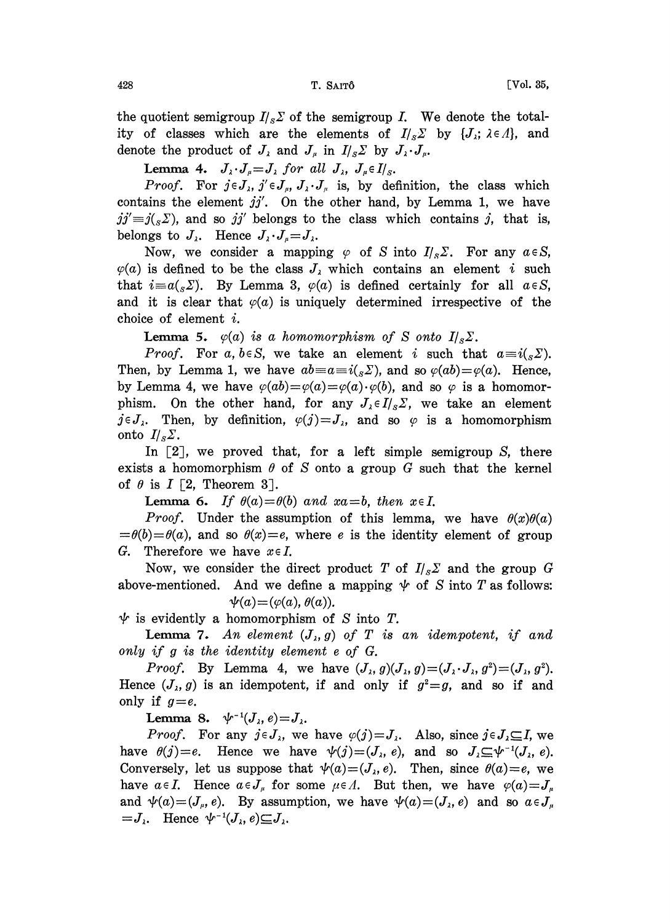$428$   $1$ ,  $S_A$ IT $\hat{o}$   $1$ ,  $S_A$ IT $\hat{o}$   $1$ ,  $S_A$ 

the quotient semigroup  $I_{\beta} \Sigma$  of the semigroup I. We denote the totality of classes which are the elements of  $I/s^{\sum}$  by  $\{J_{\lambda}; \lambda \in \Lambda\}$ , and denote the product of  $J_{\lambda}$  and  $J_{\mu}$  in  $I_{\beta} \Sigma$  by  $J_{\lambda} \cdot J_{\mu}$ .

Lemma 4.  $J_{\lambda} \cdot J_{\mu} = J_{\lambda}$  for all  $J_{\lambda}$ ,  $J_{\mu} \in I /_{S}$ .

*Proof.* For  $j \in J_{\lambda}$ ,  $j' \in J_{\mu}$ ,  $J_{\lambda} \cdot J_{\mu}$  is, by definition, the class which contains the element  $jj'$ . On the other hand, by Lemma 1, we have  $jj' \equiv j(s)$ , and so  $jj'$  belongs to the class which contains j, that is, belongs to  $J_{\lambda}$ . Hence  $J_{\lambda} \cdot J_{\mu} = J_{\lambda}$ .

Now, we consider a mapping  $\varphi$  of S into  $I_{\beta} \Sigma$ . For any  $\alpha \in S$ ,  $\varphi(a)$  is defined to be the class  $J_{\lambda}$  which contains an element i such that  $i=a(s_0\sum)$ . By Lemma 3,  $\varphi(a)$  is defined certainly for all  $a \in S$ , and it is clear that  $\varphi(a)$  is uniquely determined irrespective of the choice of element i.

**Lemma 5.**  $\varphi(a)$  is a homomorphism of S onto  $I_{\beta} \Sigma$ .

*Proof.* For a, be S, we take an element i such that  $a \equiv i(s \Sigma)$ . Then, by Lemma 1, we have  $ab = a = i({}_{S}\Sigma)$ , and so  $\varphi(ab) = \varphi(a)$ . Hence, by Lemma 4, we have  $\varphi(ab) = \varphi(a) - \varphi(b)$ , and so  $\varphi$  is a homomorphism. On the other hand, for any  $J_{\lambda} \in I_{\beta} \Sigma$ , we take an element  $j \in J_i$ . Then, by definition,  $\varphi(j) = J_i$ , and so  $\varphi$  is a homomorphism onto  $I/s \Sigma$ .

In  $\lceil 2 \rceil$ , we proved that, for a left simple semigroup S, there exists a homomorphism  $\theta$  of S onto a group G such that the kernel of  $\theta$  is  $I \lceil 2$ , Theorem 3.

**Lemma 6.** If  $\theta(a)=\theta(b)$  and  $xa=b$ , then  $x \in I$ .

*Proof.* Under the assumption of this lemma, we have  $\theta(x)\theta(a)$  $=\theta(b)=\theta(a)$ , and so  $\theta(x)=e$ , where e is the identity element of group G. Therefore we have  $x \in I$ .

Now, we consider the direct product T of  $I_{\beta} \Sigma$  and the group G above-mentioned. And we define a mapping  $\psi$  of S into T as follows:  $\psi(a) = (\varphi(a), \theta(a)).$ 

 $\psi$  is evidently a homomorphism of S into T.

**Lemma 7.** An element  $(J_{\lambda}, g)$  of T is an idempotent, if and only if g is the identity element <sup>e</sup> of G.

*Proof.* By Lemma 4, we have  $(J_{\lambda}, g)(J_{\lambda}, g)=(J_{\lambda} \cdot J_{\lambda}, g^{2})=(J_{\lambda}, g^{2}).$ Hence  $(J_{\lambda},g)$  is an idempotent, if and only if  $g^2 = g$ , and so if and only if  $g=e$ .

Lemma 8.  $\psi^{-1}(J_{\lambda},e)=J_{\lambda}$ .

*Proof.* For any  $j \in J_{\lambda}$ , we have  $\varphi(j)=J_{\lambda}$ . Also, since  $j \in J_{\lambda} \subseteq I$ , we have  $\theta(j)=e$ . Hence we have  $\psi(j)=(J_{\lambda}, e)$ , and so  $J_{\lambda}\subseteq \psi^{-1}(J_{\lambda}, e)$ . Conversely, let us suppose that  $\psi(a)=(J_{\lambda}, e)$ . Then, since  $\theta(a)=e$ , we have  $a \in I$ . Hence  $a \in J_{\mu}$  for some  $\mu \in \Lambda$ . But then, we have  $\varphi(a)=J_{\mu}$ and  $\psi(a)=(J_{\mu}, e)$ . By assumption, we have  $\psi(a)=(J_{\lambda}, e)$  and so  $a \in J_{\mu}$  $=J_{\lambda}$ . Hence  $\psi^{-1}(J_{\lambda}, e) \subseteq J_{\lambda}$ .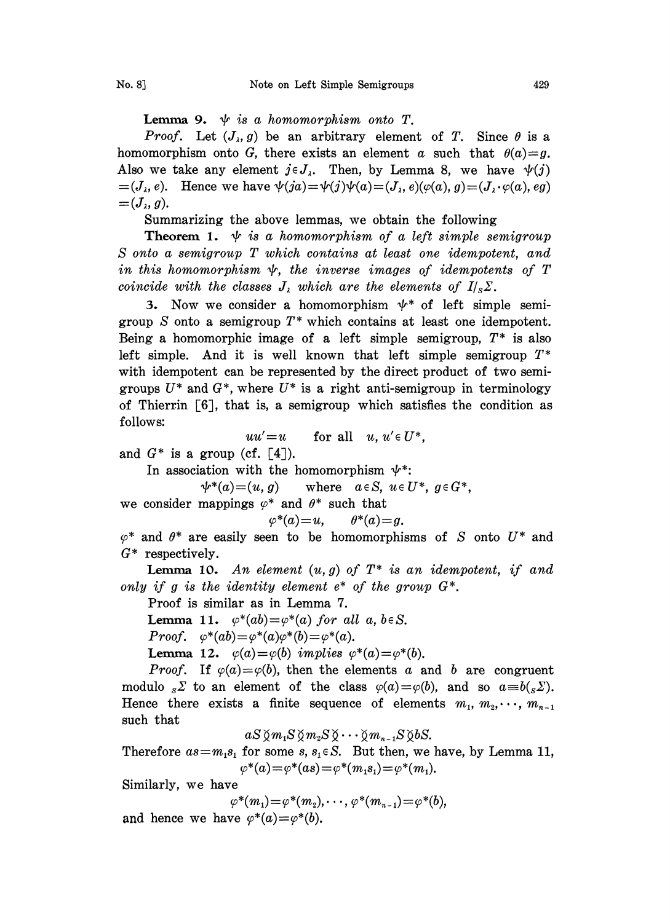**Lemma 9.**  $\psi$  is a homomorphism onto T.

*Proof.* Let  $(J_{\lambda}, g)$  be an arbitrary element of T. Since  $\theta$  is a homomorphism onto G, there exists an element a such that  $\theta(a)=g$ . Also we take any element  $j \in J_{\lambda}$ . Then, by Lemma 8, we have  $\psi(j)$  $=(J_{\lambda}, e)$ . Hence we have  $\psi(ja)=\psi(j)\psi(a)=(J_{\lambda}, e)(\varphi(a), g)=(J_{\lambda}, \varphi(a), eg)$  $=(J_{\lambda}, g).$ 

Summarizing the above lemmas, we obtain the following

**Theorem 1.**  $\psi$  is a homomorphism of a left simple semigroup S onto a semigroup T which contains at least one idempotent, and in this homomorphism  $\psi$ , the inverse images of idempotents of T coincide with the classes  $J_{\lambda}$  which are the elements of  $I_{\beta} \Sigma$ .

3. Now we consider a homomorphism  $\psi^*$  of left simple semi-<br>p S onto a semigroup  $T^*$  which contains at least one idempotent. group  $S$  onto a semigroup  $T^*$  which contains at least one idempotent. Being a homomorphic image of a left simple semigroup,  $T^*$  is also left simple. And it is well known that left simple semigroup  $T^*$ with idempotent can be represented by the direct product of two semigroups  $U^*$  and  $G^*$ , where  $U^*$  is a right anti-semigroup in terminology of Thierrin  $\lceil 6 \rceil$ , that is, a semigroup which satisfies the condition as follows:

 $uu'=u$  for all  $u, u' \in U^*$ .

and  $G^*$  is a group (cf. [4]).

In association with the homomorphism  $\psi^*$ :<br> $\psi^*(a) = (u, g)$  where  $a \in S$ ,  $u \in U$ 

where  $a \in S$ ,  $u \in U^*$ ,  $g \in G^*$ ,

we consider mappings  $\varphi^*$  and  $\theta^*$  such that<br> $\varphi^*(a) = u$ .  $\theta^*(a) = u$ 

 $\theta^*(a)=g$ .

 $\varphi^*$  and  $\vartheta^*$  are e<br> $G^*$  respectively.  $\varphi^*$  and  $\theta^*$  are easily seen to be homomorphisms of S onto  $U^*$  and

**Lemma 10.** An element  $(u, g)$  of  $T^*$  is an idempotent, if and only if g is the identity element  $e^*$  of the group  $G^*$ .

Proof is similar as in Lemma 7.

**Lemma 11.**  $\varphi^*(ab) = \varphi^*(a)$  for all a, be S.

*Proof.*  $\varphi^*(ab) = \varphi^*(a)\varphi^*(b) = \varphi^*(a)$ .

Lemma 12.  $\varphi(a) = \varphi(b)$  implies  $\varphi^*(a) = \varphi^*(b)$ .

*Proof.* If  $\varphi(a)=\varphi(b)$ , then the elements a and b are congruent modulo  $s\Sigma$  to an element of the class  $\varphi(a)=\varphi(b)$ , and so  $a\equiv b(s\Sigma)$ . Hence there exists a finite sequence of elements  $m_1, m_2, \dots, m_{n-1}$ such that

$$
aS\check{\otimes}m_1S\check{\otimes}m_2S\check{\otimes}\cdots\check{\otimes}m_{n-1}S\check{\otimes}bS.
$$

Therefore  $as=m_1s_1$  for some s,  $s_1 \in S$ . But then, we have, by Lemma 11,  $\varphi^*(a) = \varphi^*(as) = \varphi^*(m,s_1) = \varphi^*(m_1).$ 

Similarly, we have

 $\varphi^*(m_1) = \varphi^*(m_2), \cdots, \varphi^*(m_{n-1}) = \varphi^*(b),$ 

and hence we have  $\varphi^*(a) = \varphi^*(b)$ .